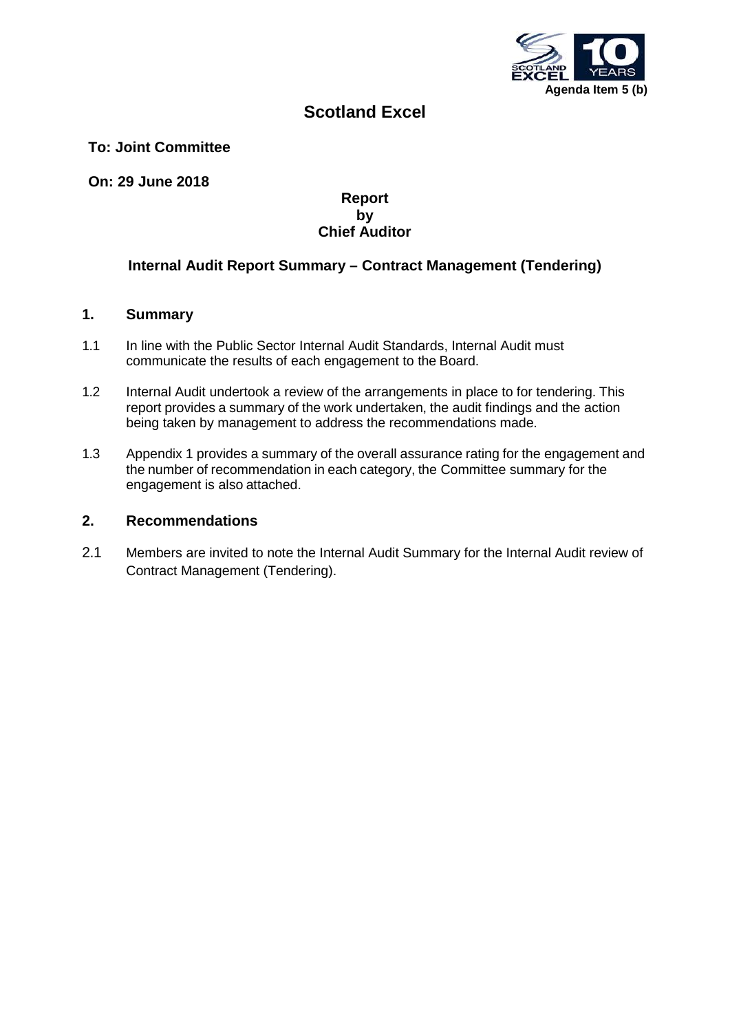

# **Scotland Excel**

### **To: Joint Committee**

**On: 29 June 2018**

#### **Report by Chief Auditor**

## **Internal Audit Report Summary – Contract Management (Tendering)**

#### **1. Summary**

- 1.1 In line with the Public Sector Internal Audit Standards, Internal Audit must communicate the results of each engagement to the Board.
- 1.2 Internal Audit undertook a review of the arrangements in place to for tendering. This report provides a summary of the work undertaken, the audit findings and the action being taken by management to address the recommendations made.
- 1.3 Appendix 1 provides a summary of the overall assurance rating for the engagement and the number of recommendation in each category, the Committee summary for the engagement is also attached.

#### **2. Recommendations**

2.1 Members are invited to note the Internal Audit Summary for the Internal Audit review of Contract Management (Tendering).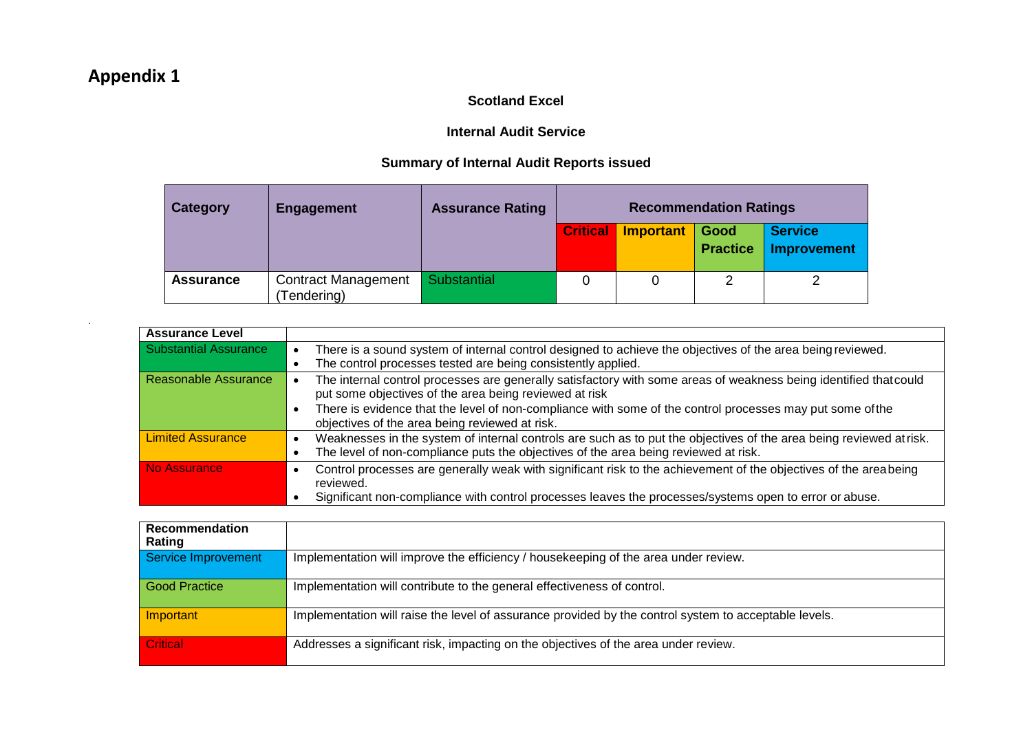# **Appendix 1**

.

## **Scotland Excel**

## **Internal Audit Service**

# **Summary of Internal Audit Reports issued**

| <b>Category</b>  | <b>Engagement</b>                        | <b>Assurance Rating</b> | <b>Recommendation Ratings</b> |           |                         |                               |
|------------------|------------------------------------------|-------------------------|-------------------------------|-----------|-------------------------|-------------------------------|
|                  |                                          |                         | <b>Critical</b>               | Important | Good<br><b>Practice</b> | <b>Service</b><br>Improvement |
| <b>Assurance</b> | <b>Contract Management</b><br>Tendering) | Substantial             |                               |           | ◠                       |                               |

| <b>Assurance Level</b>   |                                                                                                                                                                                                                                                                                                                                            |
|--------------------------|--------------------------------------------------------------------------------------------------------------------------------------------------------------------------------------------------------------------------------------------------------------------------------------------------------------------------------------------|
| Substantial Assurance    | There is a sound system of internal control designed to achieve the objectives of the area being reviewed.<br>The control processes tested are being consistently applied.                                                                                                                                                                 |
| Reasonable Assurance     | The internal control processes are generally satisfactory with some areas of weakness being identified that could<br>put some objectives of the area being reviewed at risk<br>There is evidence that the level of non-compliance with some of the control processes may put some of the<br>objectives of the area being reviewed at risk. |
| <b>Limited Assurance</b> | Weaknesses in the system of internal controls are such as to put the objectives of the area being reviewed at risk.<br>The level of non-compliance puts the objectives of the area being reviewed at risk.                                                                                                                                 |
| No Assurance             | Control processes are generally weak with significant risk to the achievement of the objectives of the areabeing<br>reviewed.<br>Significant non-compliance with control processes leaves the processes/systems open to error or abuse.                                                                                                    |

| Recommendation<br>Rating   |                                                                                                       |
|----------------------------|-------------------------------------------------------------------------------------------------------|
| <b>Service Improvement</b> | Implementation will improve the efficiency / housekeeping of the area under review.                   |
| <b>Good Practice</b>       | Implementation will contribute to the general effectiveness of control.                               |
| Important                  | Implementation will raise the level of assurance provided by the control system to acceptable levels. |
| <b>Critical</b>            | Addresses a significant risk, impacting on the objectives of the area under review.                   |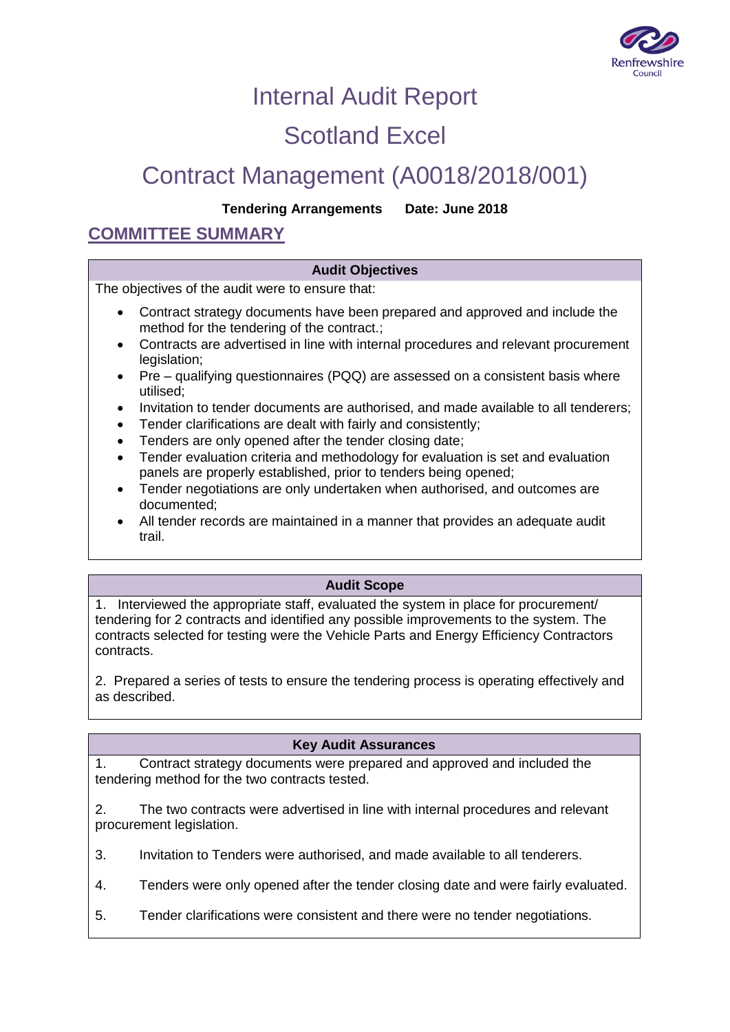

# Internal Audit Report

# Scotland Excel

# Contract Management (A0018/2018/001)

## **Tendering Arrangements Date: June 2018**

# **COMMITTEE SUMMARY**

## **Audit Objectives**

The objectives of the audit were to ensure that:

- Contract strategy documents have been prepared and approved and include the method for the tendering of the contract.;
- Contracts are advertised in line with internal procedures and relevant procurement legislation;
- Pre qualifying questionnaires (PQQ) are assessed on a consistent basis where utilised;
- Invitation to tender documents are authorised, and made available to all tenderers;
- Tender clarifications are dealt with fairly and consistently;
- Tenders are only opened after the tender closing date;
- Tender evaluation criteria and methodology for evaluation is set and evaluation panels are properly established, prior to tenders being opened;
- Tender negotiations are only undertaken when authorised, and outcomes are documented;
- All tender records are maintained in a manner that provides an adequate audit trail.

## **Audit Scope**

1. Interviewed the appropriate staff, evaluated the system in place for procurement/ tendering for 2 contracts and identified any possible improvements to the system. The contracts selected for testing were the Vehicle Parts and Energy Efficiency Contractors contracts.

2. Prepared a series of tests to ensure the tendering process is operating effectively and as described.

## **Key Audit Assurances**

1. Contract strategy documents were prepared and approved and included the tendering method for the two contracts tested.

2. The two contracts were advertised in line with internal procedures and relevant procurement legislation.

3. Invitation to Tenders were authorised, and made available to all tenderers.

- 4. Tenders were only opened after the tender closing date and were fairly evaluated.
- 5. Tender clarifications were consistent and there were no tender negotiations.